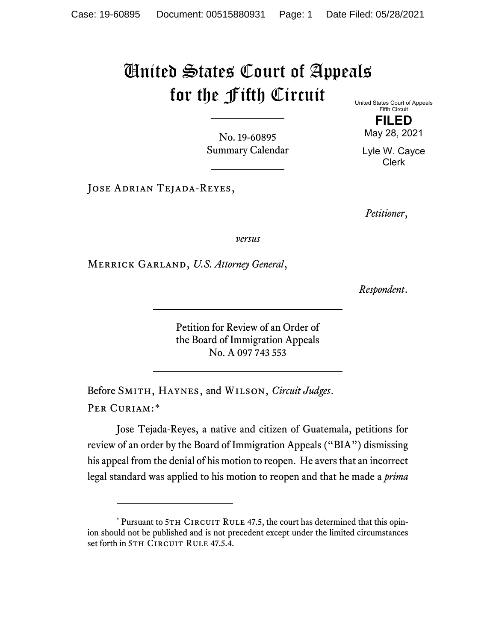## United States Court of Appeals for the Fifth Circuit

No. 19-60895 Summary Calendar United States Court of Appeals Fifth Circuit

> **FILED** May 28, 2021

Lyle W. Cayce Clerk

Jose Adrian Tejada-Reyes,

*Petitioner*,

*versus*

Merrick Garland, *U.S. Attorney General*,

*Respondent*.

Petition for Review of an Order of the Board of Immigration Appeals No. A 097 743 553

Before Smith, Haynes, and Wilson, *Circuit Judges*. Per Curiam:[\\*](#page-0-0)

Jose Tejada-Reyes, a native and citizen of Guatemala, petitions for review of an order by the Board of Immigration Appeals ("BIA") dismissing his appeal from the denial of his motion to reopen. He avers that an incorrect legal standard was applied to his motion to reopen and that he made a *prima* 

<span id="page-0-0"></span><sup>\*</sup> Pursuant to 5TH CIRCUIT RULE 47.5, the court has determined that this opinion should not be published and is not precedent except under the limited circumstances set forth in 5TH CIRCUIT RULE 47.5.4.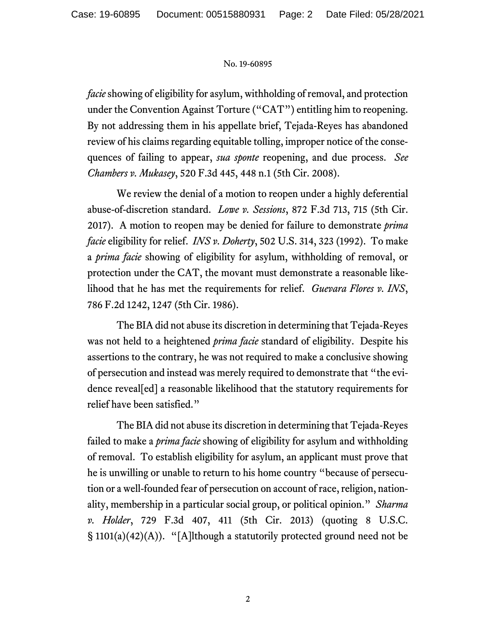## No. 19-60895

*facie* showing of eligibility for asylum, withholding of removal, and protection under the Convention Against Torture ("CAT") entitling him to reopening. By not addressing them in his appellate brief, Tejada-Reyes has abandoned review of his claims regarding equitable tolling, improper notice of the consequences of failing to appear, *sua sponte* reopening, and due process. *See Chambers v. Mukasey*, 520 F.3d 445, 448 n.1 (5th Cir. 2008).

We review the denial of a motion to reopen under a highly deferential abuse-of-discretion standard. *Lowe v. Sessions*, 872 F.3d 713, 715 (5th Cir. 2017). A motion to reopen may be denied for failure to demonstrate *prima facie* eligibility for relief. *INS v. Doherty*, 502 U.S. 314, 323 (1992). To make a *prima facie* showing of eligibility for asylum, withholding of removal, or protection under the CAT, the movant must demonstrate a reasonable likelihood that he has met the requirements for relief. *Guevara Flores v. INS*, 786 F.2d 1242, 1247 (5th Cir. 1986).

The BIA did not abuse its discretion in determining that Tejada-Reyes was not held to a heightened *prima facie* standard of eligibility. Despite his assertions to the contrary, he was not required to make a conclusive showing of persecution and instead was merely required to demonstrate that "the evidence reveal[ed] a reasonable likelihood that the statutory requirements for relief have been satisfied."

The BIA did not abuse its discretion in determining that Tejada-Reyes failed to make a *prima facie* showing of eligibility for asylum and withholding of removal. To establish eligibility for asylum, an applicant must prove that he is unwilling or unable to return to his home country "because of persecution or a well-founded fear of persecution on account of race, religion, nationality, membership in a particular social group, or political opinion." *Sharma v. Holder*, 729 F.3d 407, 411 (5th Cir. 2013) (quoting 8 U.S.C. § 1101(a)(42)(A)). "[A]lthough a statutorily protected ground need not be